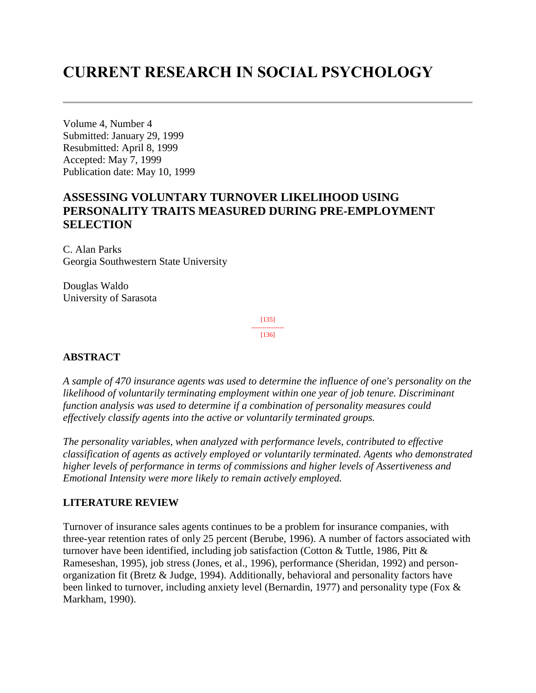# **CURRENT RESEARCH IN SOCIAL PSYCHOLOGY**

Volume 4, Number 4 Submitted: January 29, 1999 Resubmitted: April 8, 1999 Accepted: May 7, 1999 Publication date: May 10, 1999

# **ASSESSING VOLUNTARY TURNOVER LIKELIHOOD USING PERSONALITY TRAITS MEASURED DURING PRE-EMPLOYMENT SELECTION**

C. Alan Parks Georgia Southwestern State University

Douglas Waldo University of Sarasota

> [135] ---------------

[136]

## **ABSTRACT**

*A sample of 470 insurance agents was used to determine the influence of one's personality on the likelihood of voluntarily terminating employment within one year of job tenure. Discriminant function analysis was used to determine if a combination of personality measures could effectively classify agents into the active or voluntarily terminated groups.*

*The personality variables, when analyzed with performance levels, contributed to effective classification of agents as actively employed or voluntarily terminated. Agents who demonstrated higher levels of performance in terms of commissions and higher levels of Assertiveness and Emotional Intensity were more likely to remain actively employed.*

## **LITERATURE REVIEW**

Turnover of insurance sales agents continues to be a problem for insurance companies, with three-year retention rates of only 25 percent (Berube, 1996). A number of factors associated with turnover have been identified, including job satisfaction (Cotton & Tuttle, 1986, Pitt & Rameseshan, 1995), job stress (Jones, et al., 1996), performance (Sheridan, 1992) and personorganization fit (Bretz & Judge, 1994). Additionally, behavioral and personality factors have been linked to turnover, including anxiety level (Bernardin, 1977) and personality type (Fox & Markham, 1990).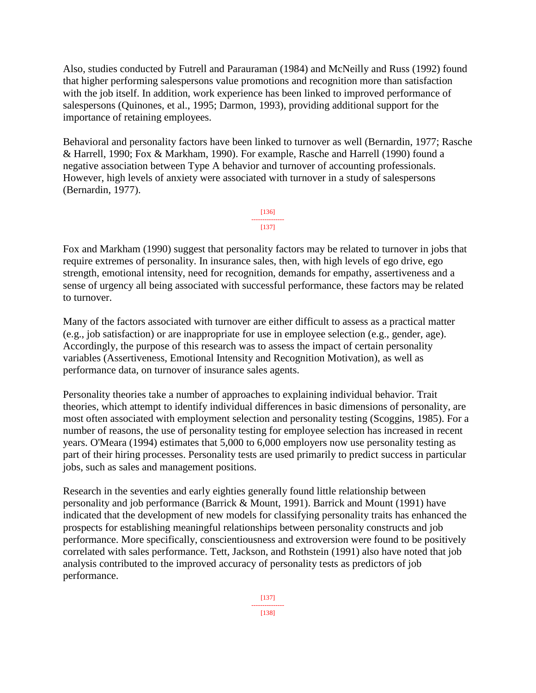Also, studies conducted by Futrell and Parauraman (1984) and McNeilly and Russ (1992) found that higher performing salespersons value promotions and recognition more than satisfaction with the job itself. In addition, work experience has been linked to improved performance of salespersons (Quinones, et al., 1995; Darmon, 1993), providing additional support for the importance of retaining employees.

Behavioral and personality factors have been linked to turnover as well (Bernardin, 1977; Rasche & Harrell, 1990; Fox & Markham, 1990). For example, Rasche and Harrell (1990) found a negative association between Type A behavior and turnover of accounting professionals. However, high levels of anxiety were associated with turnover in a study of salespersons (Bernardin, 1977).



Fox and Markham (1990) suggest that personality factors may be related to turnover in jobs that require extremes of personality. In insurance sales, then, with high levels of ego drive, ego strength, emotional intensity, need for recognition, demands for empathy, assertiveness and a sense of urgency all being associated with successful performance, these factors may be related to turnover.

Many of the factors associated with turnover are either difficult to assess as a practical matter (e.g., job satisfaction) or are inappropriate for use in employee selection (e.g., gender, age). Accordingly, the purpose of this research was to assess the impact of certain personality variables (Assertiveness, Emotional Intensity and Recognition Motivation), as well as performance data, on turnover of insurance sales agents.

Personality theories take a number of approaches to explaining individual behavior. Trait theories, which attempt to identify individual differences in basic dimensions of personality, are most often associated with employment selection and personality testing (Scoggins, 1985). For a number of reasons, the use of personality testing for employee selection has increased in recent years. O'Meara (1994) estimates that 5,000 to 6,000 employers now use personality testing as part of their hiring processes. Personality tests are used primarily to predict success in particular jobs, such as sales and management positions.

Research in the seventies and early eighties generally found little relationship between personality and job performance (Barrick & Mount, 1991). Barrick and Mount (1991) have indicated that the development of new models for classifying personality traits has enhanced the prospects for establishing meaningful relationships between personality constructs and job performance. More specifically, conscientiousness and extroversion were found to be positively correlated with sales performance. Tett, Jackson, and Rothstein (1991) also have noted that job analysis contributed to the improved accuracy of personality tests as predictors of job performance.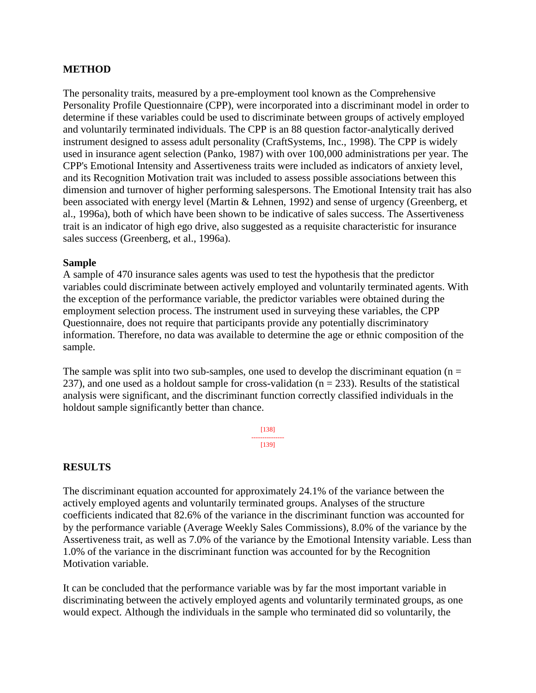## **METHOD**

The personality traits, measured by a pre-employment tool known as the Comprehensive Personality Profile Questionnaire (CPP), were incorporated into a discriminant model in order to determine if these variables could be used to discriminate between groups of actively employed and voluntarily terminated individuals. The CPP is an 88 question factor-analytically derived instrument designed to assess adult personality (CraftSystems, Inc., 1998). The CPP is widely used in insurance agent selection (Panko, 1987) with over 100,000 administrations per year. The CPP's Emotional Intensity and Assertiveness traits were included as indicators of anxiety level, and its Recognition Motivation trait was included to assess possible associations between this dimension and turnover of higher performing salespersons. The Emotional Intensity trait has also been associated with energy level (Martin & Lehnen, 1992) and sense of urgency (Greenberg, et al., 1996a), both of which have been shown to be indicative of sales success. The Assertiveness trait is an indicator of high ego drive, also suggested as a requisite characteristic for insurance sales success (Greenberg, et al., 1996a).

### **Sample**

A sample of 470 insurance sales agents was used to test the hypothesis that the predictor variables could discriminate between actively employed and voluntarily terminated agents. With the exception of the performance variable, the predictor variables were obtained during the employment selection process. The instrument used in surveying these variables, the CPP Questionnaire, does not require that participants provide any potentially discriminatory information. Therefore, no data was available to determine the age or ethnic composition of the sample.

The sample was split into two sub-samples, one used to develop the discriminant equation ( $n =$ 237), and one used as a holdout sample for cross-validation ( $n = 233$ ). Results of the statistical analysis were significant, and the discriminant function correctly classified individuals in the holdout sample significantly better than chance.

> [138] --------------- [139]

## **RESULTS**

The discriminant equation accounted for approximately 24.1% of the variance between the actively employed agents and voluntarily terminated groups. Analyses of the structure coefficients indicated that 82.6% of the variance in the discriminant function was accounted for by the performance variable (Average Weekly Sales Commissions), 8.0% of the variance by the Assertiveness trait, as well as 7.0% of the variance by the Emotional Intensity variable. Less than 1.0% of the variance in the discriminant function was accounted for by the Recognition Motivation variable.

It can be concluded that the performance variable was by far the most important variable in discriminating between the actively employed agents and voluntarily terminated groups, as one would expect. Although the individuals in the sample who terminated did so voluntarily, the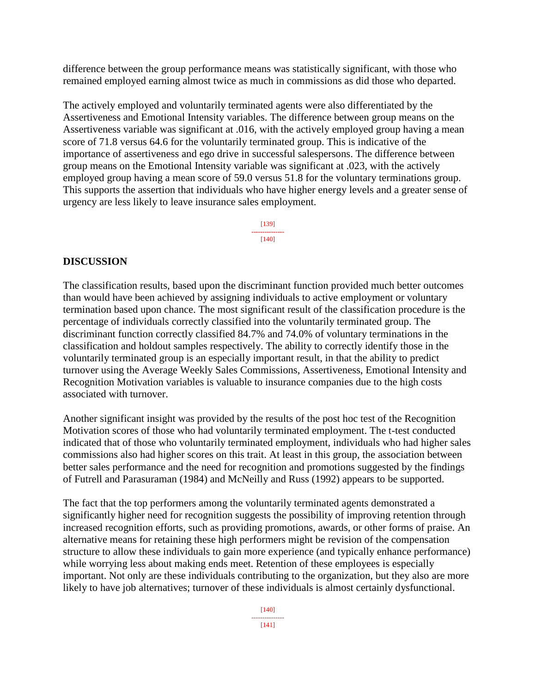difference between the group performance means was statistically significant, with those who remained employed earning almost twice as much in commissions as did those who departed.

The actively employed and voluntarily terminated agents were also differentiated by the Assertiveness and Emotional Intensity variables. The difference between group means on the Assertiveness variable was significant at .016, with the actively employed group having a mean score of 71.8 versus 64.6 for the voluntarily terminated group. This is indicative of the importance of assertiveness and ego drive in successful salespersons. The difference between group means on the Emotional Intensity variable was significant at .023, with the actively employed group having a mean score of 59.0 versus 51.8 for the voluntary terminations group. This supports the assertion that individuals who have higher energy levels and a greater sense of urgency are less likely to leave insurance sales employment.

> [139] --------------- [140]

## **DISCUSSION**

The classification results, based upon the discriminant function provided much better outcomes than would have been achieved by assigning individuals to active employment or voluntary termination based upon chance. The most significant result of the classification procedure is the percentage of individuals correctly classified into the voluntarily terminated group. The discriminant function correctly classified 84.7% and 74.0% of voluntary terminations in the classification and holdout samples respectively. The ability to correctly identify those in the voluntarily terminated group is an especially important result, in that the ability to predict turnover using the Average Weekly Sales Commissions, Assertiveness, Emotional Intensity and Recognition Motivation variables is valuable to insurance companies due to the high costs associated with turnover.

Another significant insight was provided by the results of the post hoc test of the Recognition Motivation scores of those who had voluntarily terminated employment. The t-test conducted indicated that of those who voluntarily terminated employment, individuals who had higher sales commissions also had higher scores on this trait. At least in this group, the association between better sales performance and the need for recognition and promotions suggested by the findings of Futrell and Parasuraman (1984) and McNeilly and Russ (1992) appears to be supported.

The fact that the top performers among the voluntarily terminated agents demonstrated a significantly higher need for recognition suggests the possibility of improving retention through increased recognition efforts, such as providing promotions, awards, or other forms of praise. An alternative means for retaining these high performers might be revision of the compensation structure to allow these individuals to gain more experience (and typically enhance performance) while worrying less about making ends meet. Retention of these employees is especially important. Not only are these individuals contributing to the organization, but they also are more likely to have job alternatives; turnover of these individuals is almost certainly dysfunctional.

> [140] --------------- [141]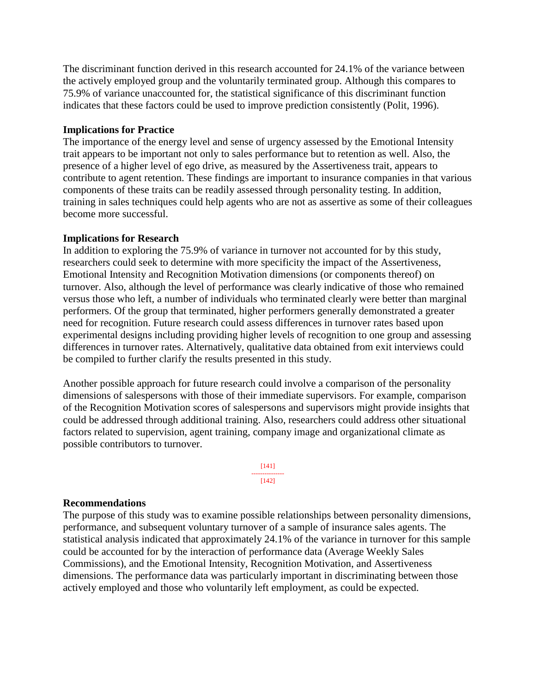The discriminant function derived in this research accounted for 24.1% of the variance between the actively employed group and the voluntarily terminated group. Although this compares to 75.9% of variance unaccounted for, the statistical significance of this discriminant function indicates that these factors could be used to improve prediction consistently (Polit, 1996).

## **Implications for Practice**

The importance of the energy level and sense of urgency assessed by the Emotional Intensity trait appears to be important not only to sales performance but to retention as well. Also, the presence of a higher level of ego drive, as measured by the Assertiveness trait, appears to contribute to agent retention. These findings are important to insurance companies in that various components of these traits can be readily assessed through personality testing. In addition, training in sales techniques could help agents who are not as assertive as some of their colleagues become more successful.

### **Implications for Research**

In addition to exploring the 75.9% of variance in turnover not accounted for by this study, researchers could seek to determine with more specificity the impact of the Assertiveness, Emotional Intensity and Recognition Motivation dimensions (or components thereof) on turnover. Also, although the level of performance was clearly indicative of those who remained versus those who left, a number of individuals who terminated clearly were better than marginal performers. Of the group that terminated, higher performers generally demonstrated a greater need for recognition. Future research could assess differences in turnover rates based upon experimental designs including providing higher levels of recognition to one group and assessing differences in turnover rates. Alternatively, qualitative data obtained from exit interviews could be compiled to further clarify the results presented in this study.

Another possible approach for future research could involve a comparison of the personality dimensions of salespersons with those of their immediate supervisors. For example, comparison of the Recognition Motivation scores of salespersons and supervisors might provide insights that could be addressed through additional training. Also, researchers could address other situational factors related to supervision, agent training, company image and organizational climate as possible contributors to turnover.



#### **Recommendations**

The purpose of this study was to examine possible relationships between personality dimensions, performance, and subsequent voluntary turnover of a sample of insurance sales agents. The statistical analysis indicated that approximately 24.1% of the variance in turnover for this sample could be accounted for by the interaction of performance data (Average Weekly Sales Commissions), and the Emotional Intensity, Recognition Motivation, and Assertiveness dimensions. The performance data was particularly important in discriminating between those actively employed and those who voluntarily left employment, as could be expected.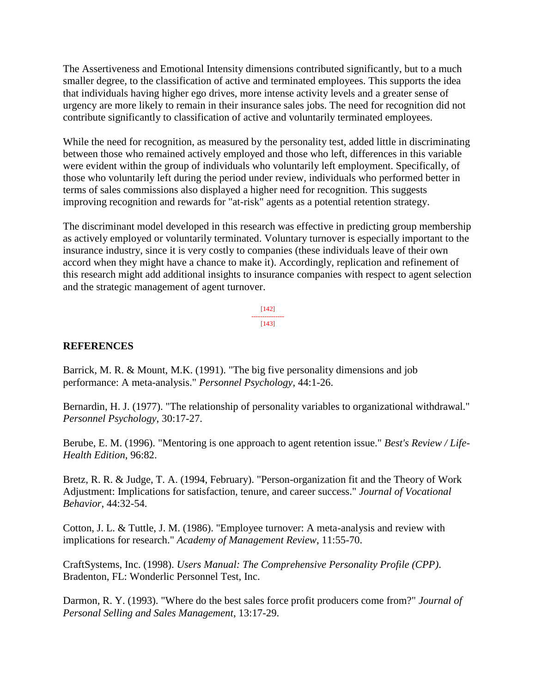The Assertiveness and Emotional Intensity dimensions contributed significantly, but to a much smaller degree, to the classification of active and terminated employees. This supports the idea that individuals having higher ego drives, more intense activity levels and a greater sense of urgency are more likely to remain in their insurance sales jobs. The need for recognition did not contribute significantly to classification of active and voluntarily terminated employees.

While the need for recognition, as measured by the personality test, added little in discriminating between those who remained actively employed and those who left, differences in this variable were evident within the group of individuals who voluntarily left employment. Specifically, of those who voluntarily left during the period under review, individuals who performed better in terms of sales commissions also displayed a higher need for recognition. This suggests improving recognition and rewards for "at-risk" agents as a potential retention strategy.

The discriminant model developed in this research was effective in predicting group membership as actively employed or voluntarily terminated. Voluntary turnover is especially important to the insurance industry, since it is very costly to companies (these individuals leave of their own accord when they might have a chance to make it). Accordingly, replication and refinement of this research might add additional insights to insurance companies with respect to agent selection and the strategic management of agent turnover.

> [142] --------------- [143]

## **REFERENCES**

Barrick, M. R. & Mount, M.K. (1991). "The big five personality dimensions and job performance: A meta-analysis." *Personnel Psychology*, 44:1-26.

Bernardin, H. J. (1977). "The relationship of personality variables to organizational withdrawal." *Personnel Psychology*, 30:17-27.

Berube, E. M. (1996). "Mentoring is one approach to agent retention issue." *Best's Review / Life-Health Edition*, 96:82.

Bretz, R. R. & Judge, T. A. (1994, February). "Person-organization fit and the Theory of Work Adjustment: Implications for satisfaction, tenure, and career success." *Journal of Vocational Behavior*, 44:32-54.

Cotton, J. L. & Tuttle, J. M. (1986). "Employee turnover: A meta-analysis and review with implications for research." *Academy of Management Review*, 11:55-70.

CraftSystems, Inc. (1998). *Users Manual: The Comprehensive Personality Profile (CPP)*. Bradenton, FL: Wonderlic Personnel Test, Inc.

Darmon, R. Y. (1993). "Where do the best sales force profit producers come from?" *Journal of Personal Selling and Sales Management*, 13:17-29.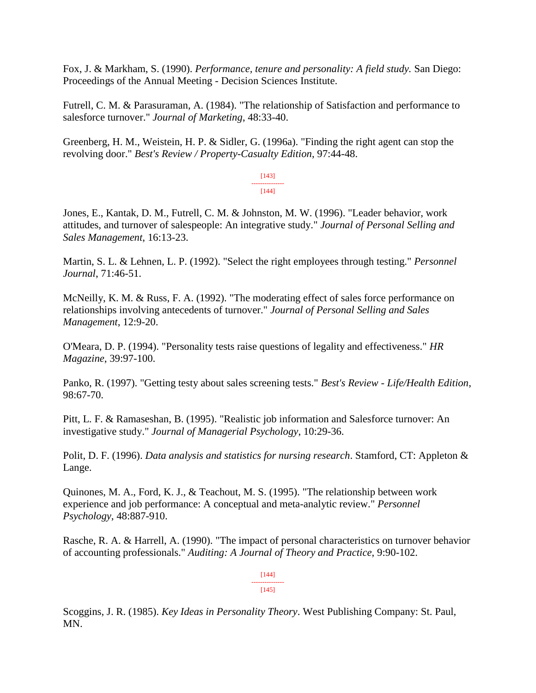Fox, J. & Markham, S. (1990). *Performance, tenure and personality: A field study.* San Diego: Proceedings of the Annual Meeting - Decision Sciences Institute.

Futrell, C. M. & Parasuraman, A. (1984). "The relationship of Satisfaction and performance to salesforce turnover." *Journal of Marketing*, 48:33-40.

Greenberg, H. M., Weistein, H. P. & Sidler, G. (1996a). "Finding the right agent can stop the revolving door." *Best's Review / Property-Casualty Edition*, 97:44-48.

> [143] ---------------  $[144]$

Jones, E., Kantak, D. M., Futrell, C. M. & Johnston, M. W. (1996). "Leader behavior, work attitudes, and turnover of salespeople: An integrative study." *Journal of Personal Selling and Sales Management*, 16:13-23.

Martin, S. L. & Lehnen, L. P. (1992). "Select the right employees through testing." *Personnel Journal*, 71:46-51.

McNeilly, K. M. & Russ, F. A. (1992). "The moderating effect of sales force performance on relationships involving antecedents of turnover." *Journal of Personal Selling and Sales Management*, 12:9-20.

O'Meara, D. P. (1994). "Personality tests raise questions of legality and effectiveness." *HR Magazine*, 39:97-100.

Panko, R. (1997). "Getting testy about sales screening tests." *Best's Review - Life/Health Edition*, 98:67-70.

Pitt, L. F. & Ramaseshan, B. (1995). "Realistic job information and Salesforce turnover: An investigative study." *Journal of Managerial Psychology*, 10:29-36.

Polit, D. F. (1996). *Data analysis and statistics for nursing research*. Stamford, CT: Appleton & Lange.

Quinones, M. A., Ford, K. J., & Teachout, M. S. (1995). "The relationship between work experience and job performance: A conceptual and meta-analytic review." *Personnel Psychology*, 48:887-910.

Rasche, R. A. & Harrell, A. (1990). "The impact of personal characteristics on turnover behavior of accounting professionals." *Auditing: A Journal of Theory and Practice*, 9:90-102.

> [144] --------------- [145]

Scoggins, J. R. (1985). *Key Ideas in Personality Theory*. West Publishing Company: St. Paul, MN.